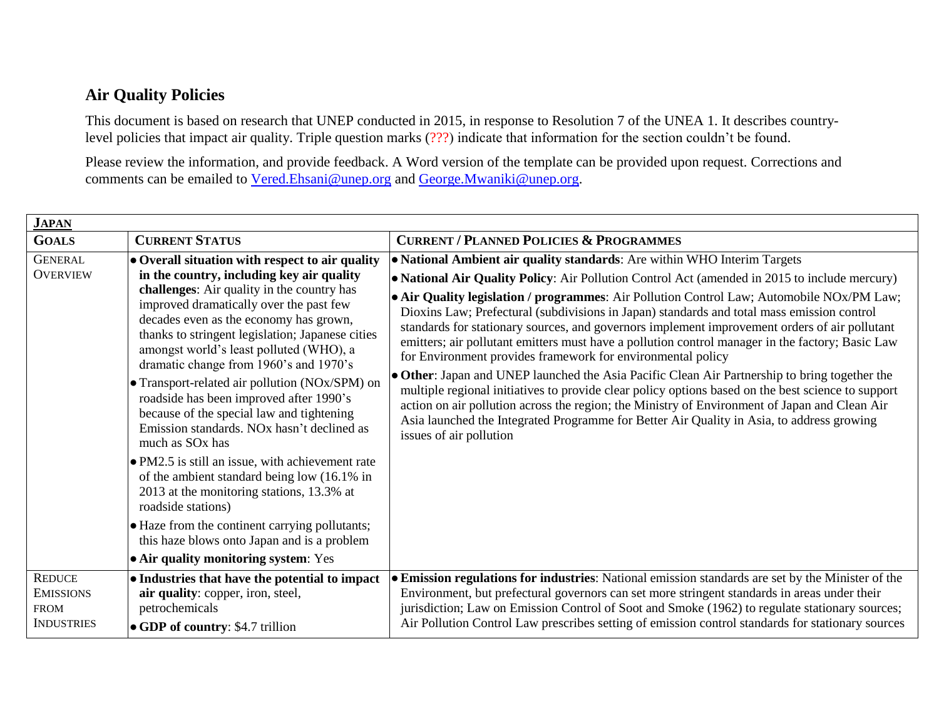## **Air Quality Policies**

This document is based on research that UNEP conducted in 2015, in response to Resolution 7 of the UNEA 1. It describes countrylevel policies that impact air quality. Triple question marks (???) indicate that information for the section couldn't be found.

Please review the information, and provide feedback. A Word version of the template can be provided upon request. Corrections and comments can be emailed to [Vered.Ehsani@unep.org](mailto:Vered.Ehsani@unep.org) and [George.Mwaniki@unep.org.](mailto:George.Mwaniki@unep.org)

| <b>JAPAN</b>                      |                                                                                                                                                                                                                                                                                                                                                                                                                                                                                                                                                                                                                                                                                                                                                                                                                                                                                                                            |                                                                                                                                                                                                                                                                                                                                                                                                                                                                                                                                                                                                                                                                                                                                                                                                                                                                                                                                                                                                                                                                          |  |  |
|-----------------------------------|----------------------------------------------------------------------------------------------------------------------------------------------------------------------------------------------------------------------------------------------------------------------------------------------------------------------------------------------------------------------------------------------------------------------------------------------------------------------------------------------------------------------------------------------------------------------------------------------------------------------------------------------------------------------------------------------------------------------------------------------------------------------------------------------------------------------------------------------------------------------------------------------------------------------------|--------------------------------------------------------------------------------------------------------------------------------------------------------------------------------------------------------------------------------------------------------------------------------------------------------------------------------------------------------------------------------------------------------------------------------------------------------------------------------------------------------------------------------------------------------------------------------------------------------------------------------------------------------------------------------------------------------------------------------------------------------------------------------------------------------------------------------------------------------------------------------------------------------------------------------------------------------------------------------------------------------------------------------------------------------------------------|--|--|
| <b>GOALS</b>                      | <b>CURRENT STATUS</b>                                                                                                                                                                                                                                                                                                                                                                                                                                                                                                                                                                                                                                                                                                                                                                                                                                                                                                      | <b>CURRENT / PLANNED POLICIES &amp; PROGRAMMES</b>                                                                                                                                                                                                                                                                                                                                                                                                                                                                                                                                                                                                                                                                                                                                                                                                                                                                                                                                                                                                                       |  |  |
| <b>GENERAL</b><br><b>OVERVIEW</b> | • Overall situation with respect to air quality<br>in the country, including key air quality<br>challenges: Air quality in the country has<br>improved dramatically over the past few<br>decades even as the economy has grown,<br>thanks to stringent legislation; Japanese cities<br>amongst world's least polluted (WHO), a<br>dramatic change from 1960's and 1970's<br>• Transport-related air pollution (NOx/SPM) on<br>roadside has been improved after 1990's<br>because of the special law and tightening<br>Emission standards. NO <sub>x</sub> hasn't declined as<br>much as SO <sub>x</sub> has<br>• PM2.5 is still an issue, with achievement rate<br>of the ambient standard being low (16.1% in<br>2013 at the monitoring stations, 13.3% at<br>roadside stations)<br>• Haze from the continent carrying pollutants;<br>this haze blows onto Japan and is a problem<br>• Air quality monitoring system: Yes | • National Ambient air quality standards: Are within WHO Interim Targets<br>• National Air Quality Policy: Air Pollution Control Act (amended in 2015 to include mercury)<br>• Air Quality legislation / programmes: Air Pollution Control Law; Automobile NOx/PM Law;<br>Dioxins Law; Prefectural (subdivisions in Japan) standards and total mass emission control<br>standards for stationary sources, and governors implement improvement orders of air pollutant<br>emitters; air pollutant emitters must have a pollution control manager in the factory; Basic Law<br>for Environment provides framework for environmental policy<br>• Other: Japan and UNEP launched the Asia Pacific Clean Air Partnership to bring together the<br>multiple regional initiatives to provide clear policy options based on the best science to support<br>action on air pollution across the region; the Ministry of Environment of Japan and Clean Air<br>Asia launched the Integrated Programme for Better Air Quality in Asia, to address growing<br>issues of air pollution |  |  |
| <b>REDUCE</b><br><b>EMISSIONS</b> | • Industries that have the potential to impact<br>air quality: copper, iron, steel,                                                                                                                                                                                                                                                                                                                                                                                                                                                                                                                                                                                                                                                                                                                                                                                                                                        | • Emission regulations for industries: National emission standards are set by the Minister of the<br>Environment, but prefectural governors can set more stringent standards in areas under their                                                                                                                                                                                                                                                                                                                                                                                                                                                                                                                                                                                                                                                                                                                                                                                                                                                                        |  |  |
| <b>FROM</b><br><b>INDUSTRIES</b>  | petrochemicals<br>• GDP of country: \$4.7 trillion                                                                                                                                                                                                                                                                                                                                                                                                                                                                                                                                                                                                                                                                                                                                                                                                                                                                         | jurisdiction; Law on Emission Control of Soot and Smoke (1962) to regulate stationary sources;<br>Air Pollution Control Law prescribes setting of emission control standards for stationary sources                                                                                                                                                                                                                                                                                                                                                                                                                                                                                                                                                                                                                                                                                                                                                                                                                                                                      |  |  |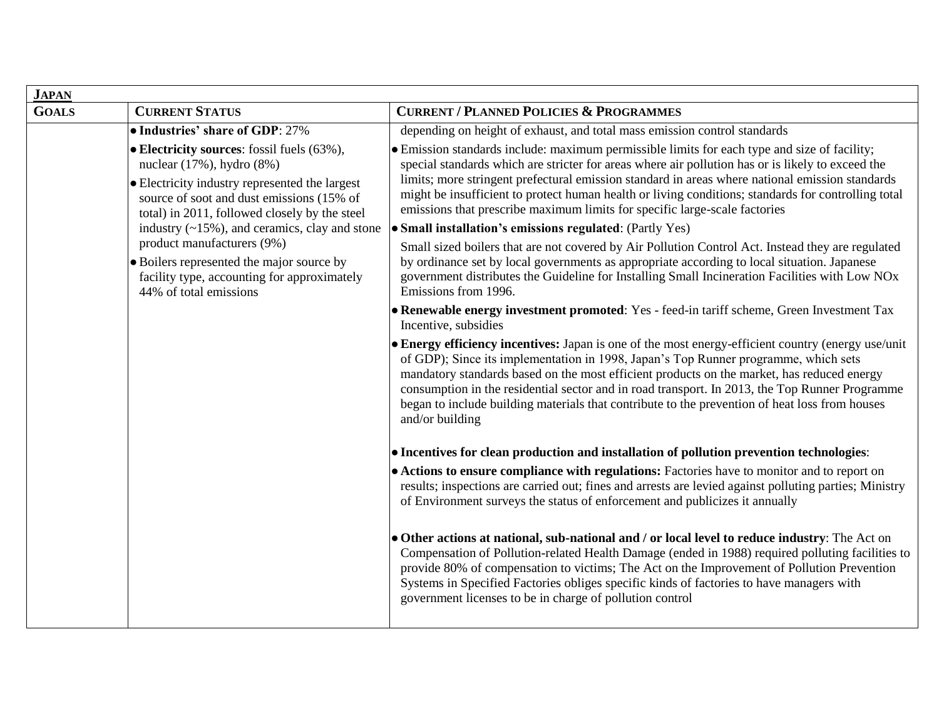| <b>JAPAN</b> |                                                                                                                                                                                                                                |                                                                                                                                                                                                                                                                                                                                                                                                                                                                                                                |  |  |
|--------------|--------------------------------------------------------------------------------------------------------------------------------------------------------------------------------------------------------------------------------|----------------------------------------------------------------------------------------------------------------------------------------------------------------------------------------------------------------------------------------------------------------------------------------------------------------------------------------------------------------------------------------------------------------------------------------------------------------------------------------------------------------|--|--|
| <b>GOALS</b> | <b>CURRENT STATUS</b>                                                                                                                                                                                                          | <b>CURRENT / PLANNED POLICIES &amp; PROGRAMMES</b>                                                                                                                                                                                                                                                                                                                                                                                                                                                             |  |  |
|              | • Industries' share of GDP: 27%                                                                                                                                                                                                | depending on height of exhaust, and total mass emission control standards                                                                                                                                                                                                                                                                                                                                                                                                                                      |  |  |
|              | • Electricity sources: fossil fuels (63%),<br>nuclear $(17\%)$ , hydro $(8\%)$<br>• Electricity industry represented the largest<br>source of soot and dust emissions (15% of<br>total) in 2011, followed closely by the steel | • Emission standards include: maximum permissible limits for each type and size of facility;<br>special standards which are stricter for areas where air pollution has or is likely to exceed the<br>limits; more stringent prefectural emission standard in areas where national emission standards<br>might be insufficient to protect human health or living conditions; standards for controlling total<br>emissions that prescribe maximum limits for specific large-scale factories                      |  |  |
|              | industry $(\sim 15\%)$ , and ceramics, clay and stone                                                                                                                                                                          | • Small installation's emissions regulated: (Partly Yes)                                                                                                                                                                                                                                                                                                                                                                                                                                                       |  |  |
|              | product manufacturers (9%)<br>• Boilers represented the major source by<br>facility type, accounting for approximately<br>44% of total emissions                                                                               | Small sized boilers that are not covered by Air Pollution Control Act. Instead they are regulated<br>by ordinance set by local governments as appropriate according to local situation. Japanese<br>government distributes the Guideline for Installing Small Incineration Facilities with Low NOx<br>Emissions from 1996.                                                                                                                                                                                     |  |  |
|              |                                                                                                                                                                                                                                | • Renewable energy investment promoted: Yes - feed-in tariff scheme, Green Investment Tax<br>Incentive, subsidies                                                                                                                                                                                                                                                                                                                                                                                              |  |  |
|              |                                                                                                                                                                                                                                | • Energy efficiency incentives: Japan is one of the most energy-efficient country (energy use/unit<br>of GDP); Since its implementation in 1998, Japan's Top Runner programme, which sets<br>mandatory standards based on the most efficient products on the market, has reduced energy<br>consumption in the residential sector and in road transport. In 2013, the Top Runner Programme<br>began to include building materials that contribute to the prevention of heat loss from houses<br>and/or building |  |  |
|              |                                                                                                                                                                                                                                | • Incentives for clean production and installation of pollution prevention technologies:                                                                                                                                                                                                                                                                                                                                                                                                                       |  |  |
|              |                                                                                                                                                                                                                                | • Actions to ensure compliance with regulations: Factories have to monitor and to report on<br>results; inspections are carried out; fines and arrests are levied against polluting parties; Ministry<br>of Environment surveys the status of enforcement and publicizes it annually                                                                                                                                                                                                                           |  |  |
|              |                                                                                                                                                                                                                                | · Other actions at national, sub-national and / or local level to reduce industry: The Act on<br>Compensation of Pollution-related Health Damage (ended in 1988) required polluting facilities to<br>provide 80% of compensation to victims; The Act on the Improvement of Pollution Prevention<br>Systems in Specified Factories obliges specific kinds of factories to have managers with<br>government licenses to be in charge of pollution control                                                        |  |  |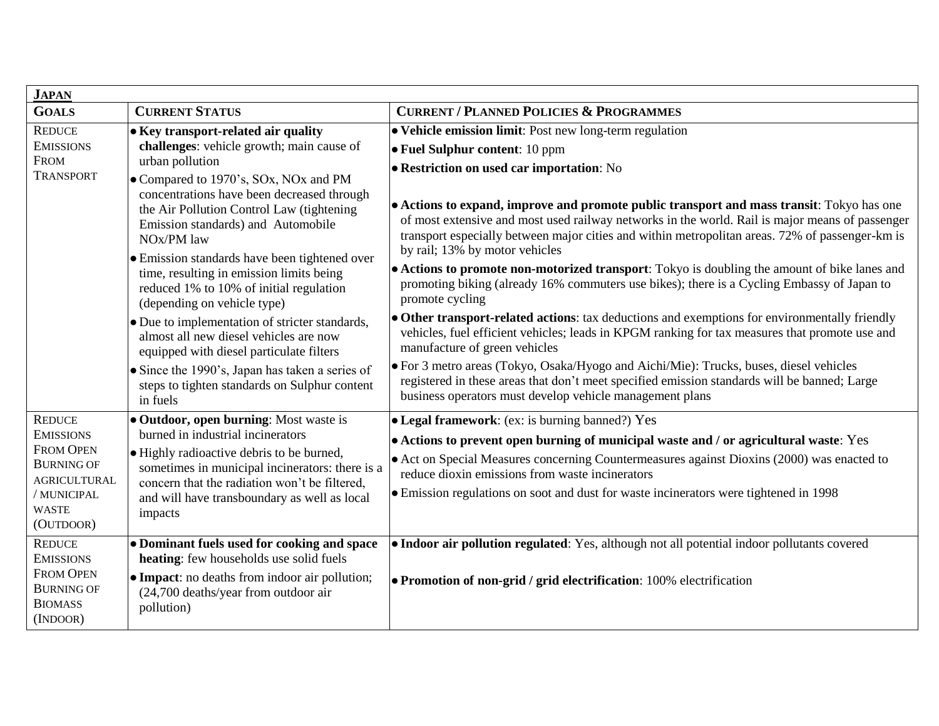| <b>JAPAN</b>                                                                                                                                                                                                                                              |                                                                                                                                                                                                                                                                                                                                                                                                                                                                                                                                                                                                                                                                                                                                         |                                                                                                                                                                                                                                                                                                                                                                                                                                                                                                                                                                                                                                                                                                                                                                                                                                                                                                                                                                                                                                                                                                                                                                                               |  |  |
|-----------------------------------------------------------------------------------------------------------------------------------------------------------------------------------------------------------------------------------------------------------|-----------------------------------------------------------------------------------------------------------------------------------------------------------------------------------------------------------------------------------------------------------------------------------------------------------------------------------------------------------------------------------------------------------------------------------------------------------------------------------------------------------------------------------------------------------------------------------------------------------------------------------------------------------------------------------------------------------------------------------------|-----------------------------------------------------------------------------------------------------------------------------------------------------------------------------------------------------------------------------------------------------------------------------------------------------------------------------------------------------------------------------------------------------------------------------------------------------------------------------------------------------------------------------------------------------------------------------------------------------------------------------------------------------------------------------------------------------------------------------------------------------------------------------------------------------------------------------------------------------------------------------------------------------------------------------------------------------------------------------------------------------------------------------------------------------------------------------------------------------------------------------------------------------------------------------------------------|--|--|
| <b>GOALS</b>                                                                                                                                                                                                                                              | <b>CURRENT STATUS</b>                                                                                                                                                                                                                                                                                                                                                                                                                                                                                                                                                                                                                                                                                                                   | <b>CURRENT / PLANNED POLICIES &amp; PROGRAMMES</b>                                                                                                                                                                                                                                                                                                                                                                                                                                                                                                                                                                                                                                                                                                                                                                                                                                                                                                                                                                                                                                                                                                                                            |  |  |
| <b>REDUCE</b><br><b>EMISSIONS</b><br><b>FROM</b><br><b>TRANSPORT</b>                                                                                                                                                                                      | • Key transport-related air quality<br>challenges: vehicle growth; main cause of<br>urban pollution<br>• Compared to 1970's, SOx, NOx and PM<br>concentrations have been decreased through<br>the Air Pollution Control Law (tightening<br>Emission standards) and Automobile<br>NO <sub>x</sub> /PM law<br>• Emission standards have been tightened over<br>time, resulting in emission limits being<br>reduced 1% to 10% of initial regulation<br>(depending on vehicle type)<br>• Due to implementation of stricter standards,<br>almost all new diesel vehicles are now<br>equipped with diesel particulate filters<br>• Since the 1990's, Japan has taken a series of<br>steps to tighten standards on Sulphur content<br>in fuels | · Vehicle emission limit: Post new long-term regulation<br>• Fuel Sulphur content: 10 ppm<br><b>.</b> Restriction on used car importation: No<br>• Actions to expand, improve and promote public transport and mass transit: Tokyo has one<br>of most extensive and most used railway networks in the world. Rail is major means of passenger<br>transport especially between major cities and within metropolitan areas. 72% of passenger-km is<br>by rail; 13% by motor vehicles<br>• Actions to promote non-motorized transport: Tokyo is doubling the amount of bike lanes and<br>promoting biking (already 16% commuters use bikes); there is a Cycling Embassy of Japan to<br>promote cycling<br>• Other transport-related actions: tax deductions and exemptions for environmentally friendly<br>vehicles, fuel efficient vehicles; leads in KPGM ranking for tax measures that promote use and<br>manufacture of green vehicles<br>• For 3 metro areas (Tokyo, Osaka/Hyogo and Aichi/Mie): Trucks, buses, diesel vehicles<br>registered in these areas that don't meet specified emission standards will be banned; Large<br>business operators must develop vehicle management plans |  |  |
| <b>REDUCE</b><br><b>EMISSIONS</b><br><b>FROM OPEN</b><br><b>BURNING OF</b><br><b>AGRICULTURAL</b><br>/ MUNICIPAL<br><b>WASTE</b><br>(OUTDOOR)<br><b>REDUCE</b><br><b>EMISSIONS</b><br><b>FROM OPEN</b><br><b>BURNING OF</b><br><b>BIOMASS</b><br>(INDOOR) | · Outdoor, open burning: Most waste is<br>burned in industrial incinerators<br>• Highly radioactive debris to be burned,<br>sometimes in municipal incinerators: there is a<br>concern that the radiation won't be filtered,<br>and will have transboundary as well as local<br>impacts<br>• Dominant fuels used for cooking and space<br>heating: few households use solid fuels<br>• Impact: no deaths from indoor air pollution;<br>(24,700 deaths/year from outdoor air<br>pollution)                                                                                                                                                                                                                                               | • Legal framework: (ex: is burning banned?) Yes<br>• Actions to prevent open burning of municipal waste and / or agricultural waste: Yes<br>• Act on Special Measures concerning Countermeasures against Dioxins (2000) was enacted to<br>reduce dioxin emissions from waste incinerators<br>• Emission regulations on soot and dust for waste incinerators were tightened in 1998<br>· Indoor air pollution regulated: Yes, although not all potential indoor pollutants covered<br>• Promotion of non-grid / grid electrification: 100% electrification                                                                                                                                                                                                                                                                                                                                                                                                                                                                                                                                                                                                                                     |  |  |